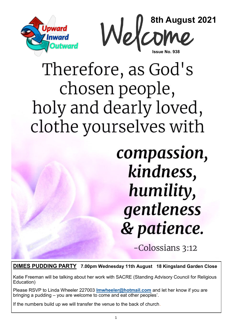



# Therefore, as God's chosen people, holy and dearly loved, clothe yourselves with

# compassion, kindness, humility, gentleness & patience.

-Colossians 3:12

**DIMES PUDDING PARTY 7.00pm Wednesday 11th August 18 Kingsland Garden Close**

Katie Freeman will be talking about her work with SACRE (Standing Advisory Council for Religious Education)

Please RSVP to Linda Wheeler 227003 **[lmwheeler@hotmail.com](mailto:lmwheeler18@hotmail.com)** and let her know if you are bringing a pudding – you are welcome to come and eat other peoples'.

If the numbers build up we will transfer the venue to the back of church.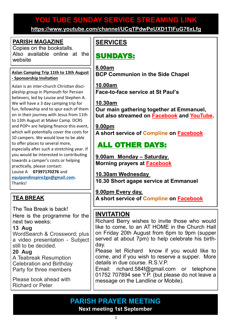# **YOU TUBE SUNDAY SERVICE STREAMING LINK YOU TUBE SUNDAY SERVICE STREAMING LINK**

**[https://www.youtube.com/channel/UCqTPdwPeUXD1TIFuG76xLfg](https://nam12.safelinks.protection.outlook.com/?url=https%3A%2F%2Fwww.youtube.com%2Fchannel%2FUCqTPdwPeUXD1TIFuG76xLfg&data=04%7C01%7C%7C98819de32b254e54143f08d89b609eed%7C84df9e7fe9f640afb435aaaaaaaaaaaa%7C1%7C0%7C637430186562964999%7CUnknown%7CTWFpbGZsb3d8e) <https://www.youtube.com/channel/UCqTPdwPeUXD1TIFuG76xLfg>**

### **PARISH MAGAZINE**

Copies on the bookstalls. Also available online at the website

#### **Aslan Camping Trip 11th to 13th August - Sponsorship Invitation**

Aslan is an inter-church Christian discipleship group in Plymouth for Persian believers, led by Louise and Stephen A. We will have a 3 day camping trip for fun, fellowship and to spur each of them on in their journey with Jesus from 11th to 13th August at Maker Camp. DCRS and POP+ are helping finance this event, which will potentially cover the costs for 10 campers. We would love to be able to offer places to several more, especially after such a stretching year. If you would be interested in contributing towards a camper's costs or helping practically, please contact: Louise A **07397170276** and **[equipandinspire2go@gmail.com](mailto:equipandinspire2go@gmail.com)**. Thanks!

## **TEA BREAK**

The Tea Break is back! Here is the programme for the next two weeks:

#### **13 Aug**

WordSearch & Crossword; plus a video presentation - Subject still to be decided.

#### **20 Aug**

A Teabreak Resumption Celebration and Birthday Party for three members

Please book ahead with Richard or Peter

## **SERVICES**

## SUNDAYS:

**8.00am BCP Communion in the Side Chapel**

**10.00am Face-to-face service at St Paul's** 

**10.30am Our main gathering together at Emmanuel, but also streamed on [Facebook](https://www.facebook.com/emmanuelwithstpauls/) and [YouTube.](https://www.youtube.com/channel/UCqTPdwPeUXD1TIFuG76xLfg)**

**9.00pm A short service of [Compline](https://www.emmanuelplymouth.co.uk/Publisher/File.aspx?ID=259665) on [Facebook](https://www.facebook.com/emmanuelwithstpauls/)**

# ALL OTHER DAYS:

**9.00am Monday – Saturday**, **Morning prayers at [Facebook](https://www.facebook.com/emmanuelwithstpauls/)**

**10.30am Wednesday 10.30 Short agape service at Emmanuel**

**9.00pm Every day, A short service of [Compline](https://www.emmanuelplymouth.co.uk/Publisher/File.aspx?ID=259665) on [Facebook](https://www.facebook.com/emmanuelwithstpauls/)**

## **INVITATION**

Richard Berry wishes to invite those who would like to come, to an AT HOME in the Church Hall on Friday 20th August from 6pm to 9pm (supper served at about 7pm) to help celebrate his birthday.

Please let Richard know if you would like to come, and if you wish to reserve a supper. More details in due course. R.S.V.P.

Email: [richard.584f@gmail.com](mailto:richard.584f@gmail.com) or telephone 01752 707894 see Y.P. (but please do not leave a message on the Landline or Mobile).

**PARISH PRAYER MEETING Next meeting 1st September**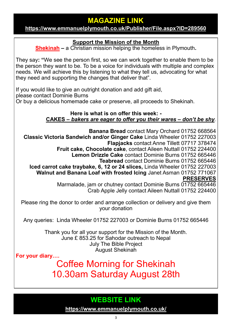## **MAGAZINE LINK**

#### **<https://www.emmanuelplymouth.co.uk/Publisher/File.aspx?ID=289560>**

### **Support the Mission of the Month**

**[Shekinah](https://www.shekinah.co.uk/) –** a Christian mission helping the homeless in Plymouth**.** 

They say**: "**We see the person first, so we can work together to enable them to be the person they want to be. To be a voice for individuals with multiple and complex needs. We will achieve this by listening to what they tell us, advocating for what they need and supporting the changes that deliver that".

If you would like to give an outright donation and add gift aid, please contact Dominie Burns Or buy a delicious homemade cake or preserve, all proceeds to Shekinah.

#### **Here is what is on offer this week: - CAKES –** *bakers are eager to offer you their wares – don't be shy.*

**Banana Bread** contact Mary Orchard 01752 668564 **Classic Victoria Sandwich and/or Ginger Cake** Linda Wheeler 01752 227003 **Flapjacks** contact Anne Tillett 07717 378474 **Fruit cake, Chocolate cake**, contact Aileen Nuttall 01752 224400 **Lemon Drizzle Cake** contact Dominie Burns 01752 665446 **Teabread** contact Dominie Burns 01752 665446 **Iced carrot cake traybake, 6, 12 or 24 slices,** Linda Wheeler 01752 227003 **Walnut and Banana Loaf with frosted Icing** Janet Asman 01752 771067 **PRESERVES** Marmalade, jam or chutney contact Dominie Burns 01752 665446 Crab Apple Jelly contact Aileen Nuttall 01752 224400

Please ring the donor to order and arrange collection or delivery and give them your donation

Any queries: Linda Wheeler 01752 227003 or Dominie Burns 01752 665446

Thank you for all your support for the Mission of the Month. June £ 853.25 for Sahodar outreach to Nepal July The Bible Project August Shekinah

**For your diary….**

Coffee Morning for Shekinah 10.30am Saturday August 28th

## **WEBSITE LINK**

**<https://www.emmanuelplymouth.co.uk/>**